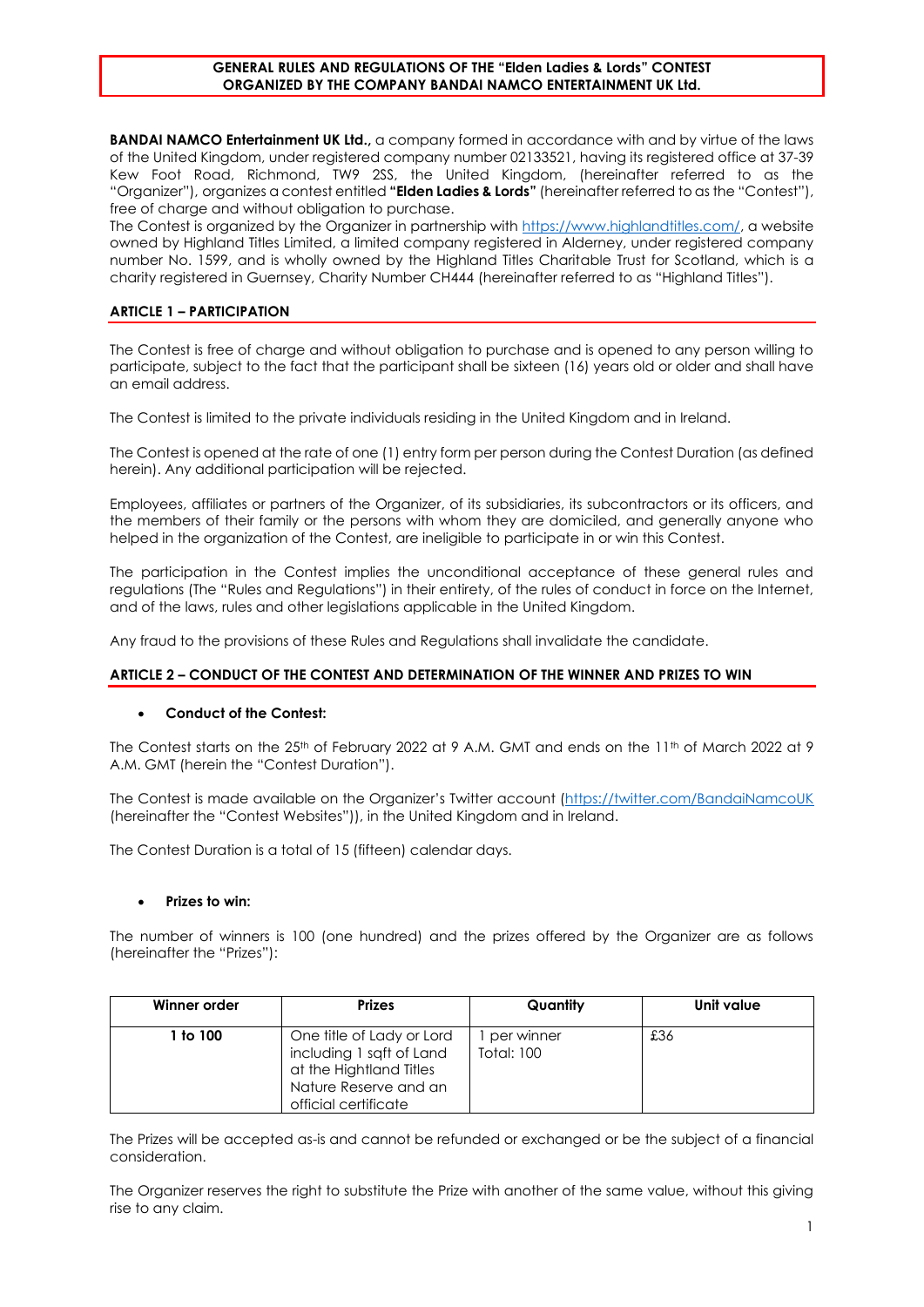#### **GENERAL RULES AND REGULATIONS OF THE "Elden Ladies & Lords" CONTEST ORGANIZED BY THE COMPANY BANDAI NAMCO ENTERTAINMENT UK Ltd.**

**BANDAI NAMCO Entertainment UK Ltd.**, a company formed in accordance with and by virtue of the laws of the United Kingdom, under registered company number 02133521, having its registered office at 37-39 Kew Foot Road, Richmond, TW9 2SS, the United Kingdom, (hereinafter referred to as the "Organizer"), organizes a contest entitled **"Elden Ladies & Lords"** (hereinafter referred to as the "Contest"), free of charge and without obligation to purchase.

The Contest is organized by the Organizer in partnership with [https://www.highlandtitles.com/,](https://www.highlandtitles.com/) a website owned by Highland Titles Limited, a limited company registered in Alderney, under registered company number No. 1599, and is wholly owned by the Highland Titles Charitable Trust for Scotland, which is a charity registered in Guernsey, Charity Number CH444 (hereinafter referred to as "Highland Titles").

# **ARTICLE 1 – PARTICIPATION**

The Contest is free of charge and without obligation to purchase and is opened to any person willing to participate, subject to the fact that the participant shall be sixteen (16) years old or older and shall have an email address.

The Contest is limited to the private individuals residing in the United Kingdom and in Ireland.

The Contest is opened at the rate of one (1) entry form per person during the Contest Duration (as defined herein). Any additional participation will be rejected.

Employees, affiliates or partners of the Organizer, of its subsidiaries, its subcontractors or its officers, and the members of their family or the persons with whom they are domiciled, and generally anyone who helped in the organization of the Contest, are ineligible to participate in or win this Contest.

The participation in the Contest implies the unconditional acceptance of these general rules and regulations (The "Rules and Regulations") in their entirety, of the rules of conduct in force on the Internet, and of the laws, rules and other legislations applicable in the United Kingdom.

Any fraud to the provisions of these Rules and Regulations shall invalidate the candidate.

### **ARTICLE 2 – CONDUCT OF THE CONTEST AND DETERMINATION OF THE WINNER AND PRIZES TO WIN**

### • **Conduct of the Contest:**

The Contest starts on the 25<sup>th</sup> of February 2022 at 9 A.M. GMT and ends on the 11<sup>th</sup> of March 2022 at 9 A.M. GMT (herein the "Contest Duration").

The Contest is made available on the Organizer's Twitter account [\(https://twitter.com/BandaiNamcoUK](https://twitter.com/BandaiNamcoUK) (hereinafter the "Contest Websites")), in the United Kingdom and in Ireland.

The Contest Duration is a total of 15 (fifteen) calendar days.

### • **Prizes to win:**

The number of winners is 100 (one hundred) and the prizes offered by the Organizer are as follows (hereinafter the "Prizes"):

| Winner order | <b>Prizes</b>                                                                                                                     | Quantity                 | Unit value |
|--------------|-----------------------------------------------------------------------------------------------------------------------------------|--------------------------|------------|
| 1 to 100     | One title of Lady or Lord<br>including 1 sqft of Land<br>at the Hightland Titles<br>Nature Reserve and an<br>official certificate | per winner<br>Total: 100 | £36        |

The Prizes will be accepted as-is and cannot be refunded or exchanged or be the subject of a financial consideration.

The Organizer reserves the right to substitute the Prize with another of the same value, without this giving rise to any claim.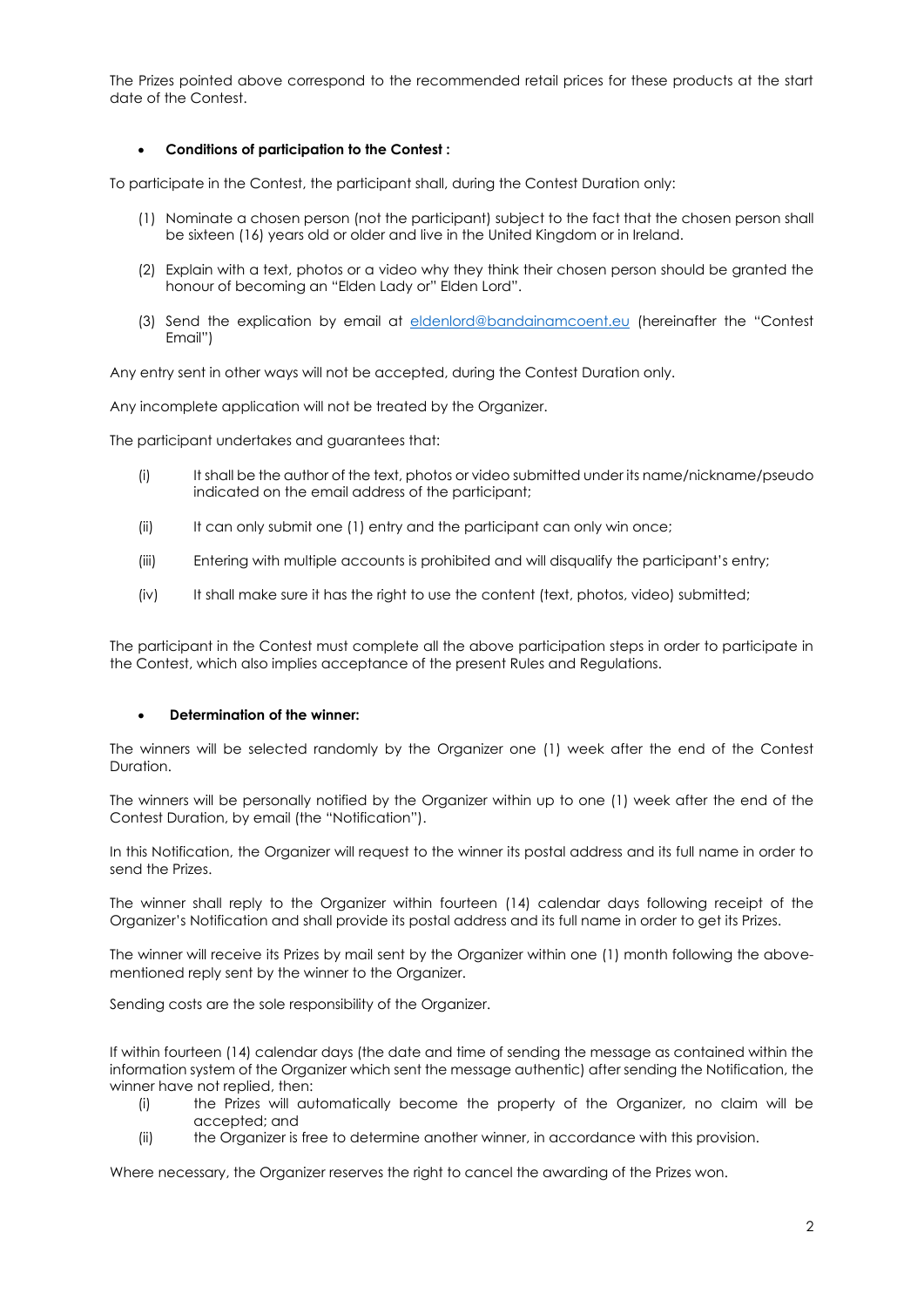The Prizes pointed above correspond to the recommended retail prices for these products at the start date of the Contest.

# • **Conditions of participation to the Contest :**

To participate in the Contest, the participant shall, during the Contest Duration only:

- (1) Nominate a chosen person (not the participant) subject to the fact that the chosen person shall be sixteen (16) years old or older and live in the United Kingdom or in Ireland.
- (2) Explain with a text, photos or a video why they think their chosen person should be granted the honour of becoming an "Elden Lady or" Elden Lord".
- (3) Send the explication by email at [eldenlord@bandainamcoent.eu](mailto:eldenlord@bandainamcoent.eu) (hereinafter the "Contest Email")

Any entry sent in other ways will not be accepted, during the Contest Duration only.

Any incomplete application will not be treated by the Organizer.

The participant undertakes and guarantees that:

- (i) It shall be the author of the text, photos or video submitted under its name/nickname/pseudo indicated on the email address of the participant;
- (ii) It can only submit one (1) entry and the participant can only win once;
- (iii) Entering with multiple accounts is prohibited and will disqualify the participant's entry;
- (iv) It shall make sure it has the right to use the content (text, photos, video) submitted;

The participant in the Contest must complete all the above participation steps in order to participate in the Contest, which also implies acceptance of the present Rules and Regulations.

#### • **Determination of the winner:**

The winners will be selected randomly by the Organizer one (1) week after the end of the Contest Duration.

The winners will be personally notified by the Organizer within up to one (1) week after the end of the Contest Duration, by email (the "Notification").

In this Notification, the Organizer will request to the winner its postal address and its full name in order to send the Prizes.

The winner shall reply to the Organizer within fourteen (14) calendar days following receipt of the Organizer's Notification and shall provide its postal address and its full name in order to get its Prizes.

The winner will receive its Prizes by mail sent by the Organizer within one (1) month following the abovementioned reply sent by the winner to the Organizer.

Sending costs are the sole responsibility of the Organizer.

If within fourteen (14) calendar days (the date and time of sending the message as contained within the information system of the Organizer which sent the message authentic) after sending the Notification, the winner have not replied, then:

- (i) the Prizes will automatically become the property of the Organizer, no claim will be accepted; and
- (ii) the Organizer is free to determine another winner, in accordance with this provision.

Where necessary, the Organizer reserves the right to cancel the awarding of the Prizes won.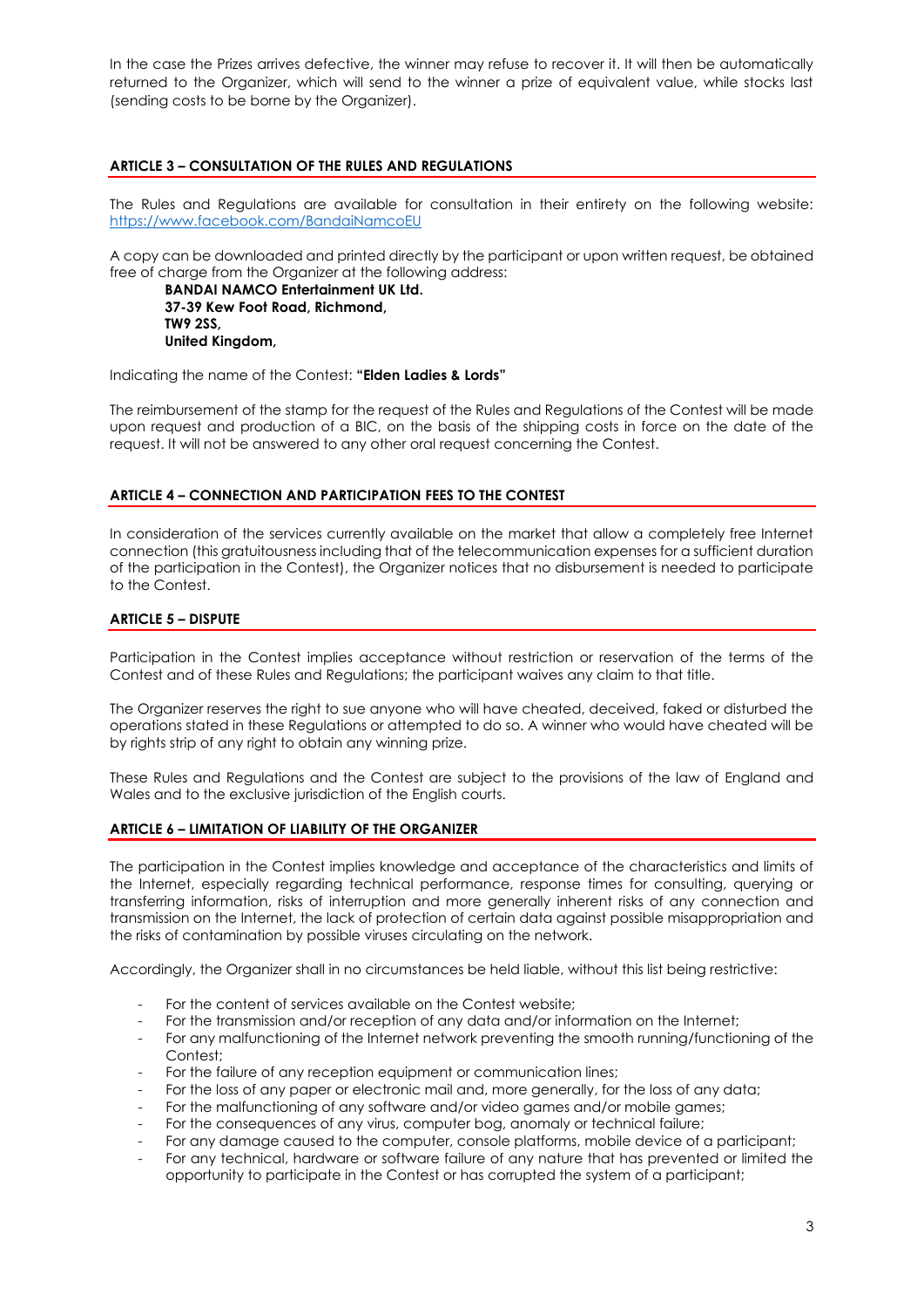In the case the Prizes arrives defective, the winner may refuse to recover it. It will then be automatically returned to the Organizer, which will send to the winner a prize of equivalent value, while stocks last (sending costs to be borne by the Organizer).

# **ARTICLE 3 – CONSULTATION OF THE RULES AND REGULATIONS**

The Rules and Regulations are available for consultation in their entirety on the following website: <https://www.facebook.com/BandaiNamcoEU>

A copy can be downloaded and printed directly by the participant or upon written request, be obtained free of charge from the Organizer at the following address:

**BANDAI NAMCO Entertainment UK Ltd. 37-39 Kew Foot Road, Richmond, TW9 2SS, United Kingdom,**

Indicating the name of the Contest: **"Elden Ladies & Lords"**

The reimbursement of the stamp for the request of the Rules and Regulations of the Contest will be made upon request and production of a BIC, on the basis of the shipping costs in force on the date of the request. It will not be answered to any other oral request concerning the Contest.

### **ARTICLE 4 – CONNECTION AND PARTICIPATION FEES TO THE CONTEST**

In consideration of the services currently available on the market that allow a completely free Internet connection (this gratuitousness including that of the telecommunication expenses for a sufficient duration of the participation in the Contest), the Organizer notices that no disbursement is needed to participate to the Contest.

## **ARTICLE 5 – DISPUTE**

Participation in the Contest implies acceptance without restriction or reservation of the terms of the Contest and of these Rules and Regulations; the participant waives any claim to that title.

The Organizer reserves the right to sue anyone who will have cheated, deceived, faked or disturbed the operations stated in these Regulations or attempted to do so. A winner who would have cheated will be by rights strip of any right to obtain any winning prize.

These Rules and Regulations and the Contest are subject to the provisions of the law of England and Wales and to the exclusive jurisdiction of the English courts.

### **ARTICLE 6 – LIMITATION OF LIABILITY OF THE ORGANIZER**

The participation in the Contest implies knowledge and acceptance of the characteristics and limits of the Internet, especially regarding technical performance, response times for consulting, querying or transferring information, risks of interruption and more generally inherent risks of any connection and transmission on the Internet, the lack of protection of certain data against possible misappropriation and the risks of contamination by possible viruses circulating on the network.

Accordingly, the Organizer shall in no circumstances be held liable, without this list being restrictive:

- For the content of services available on the Contest website;
- For the transmission and/or reception of any data and/or information on the Internet;
- For any malfunctioning of the Internet network preventing the smooth running/functioning of the Contest;
- For the failure of any reception equipment or communication lines;
- For the loss of any paper or electronic mail and, more generally, for the loss of any data;
- For the malfunctioning of any software and/or video games and/or mobile games;
- For the consequences of any virus, computer bog, anomaly or technical failure;
- For any damage caused to the computer, console platforms, mobile device of a participant;
- For any technical, hardware or software failure of any nature that has prevented or limited the opportunity to participate in the Contest or has corrupted the system of a participant;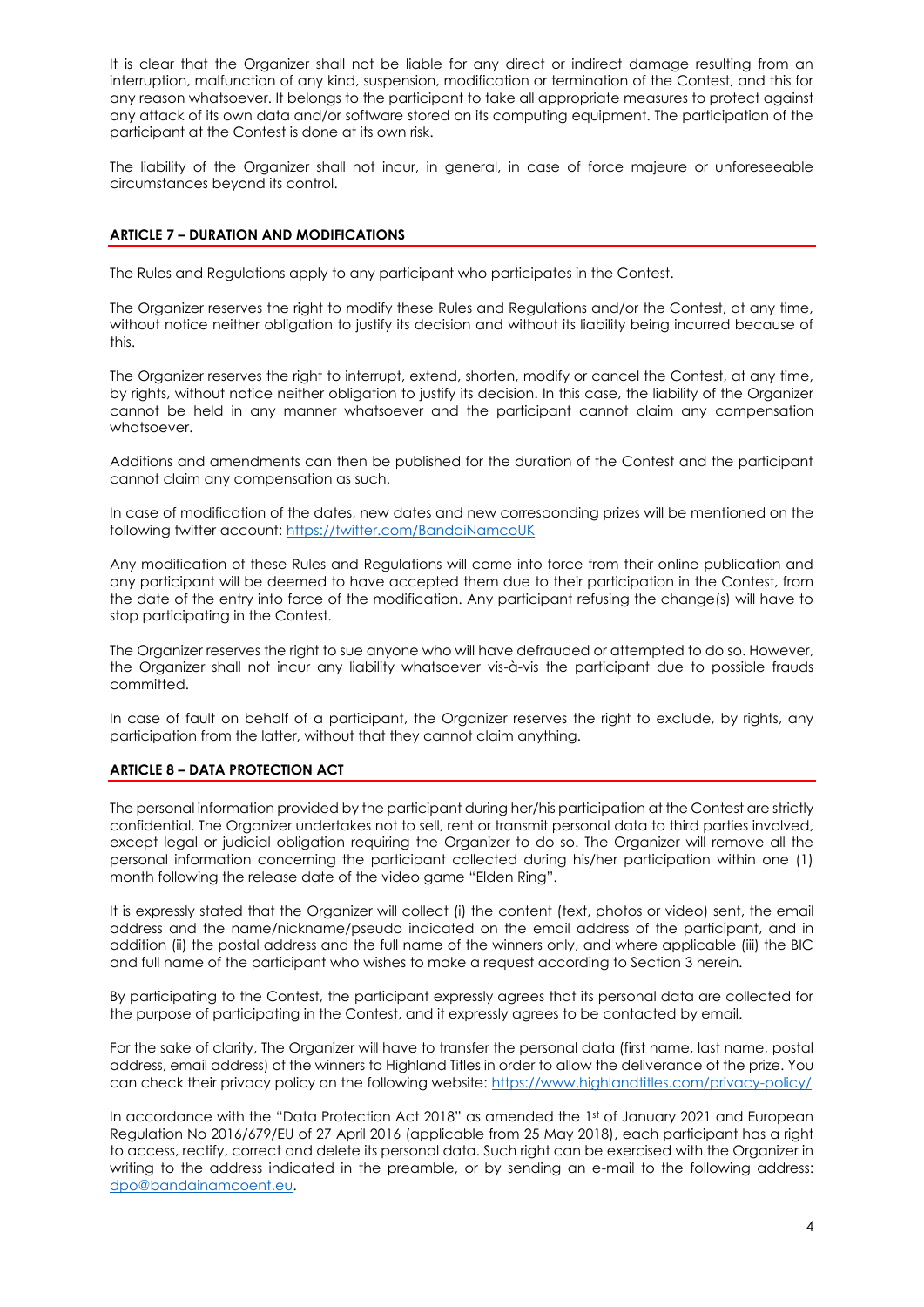It is clear that the Organizer shall not be liable for any direct or indirect damage resulting from an interruption, malfunction of any kind, suspension, modification or termination of the Contest, and this for any reason whatsoever. It belongs to the participant to take all appropriate measures to protect against any attack of its own data and/or software stored on its computing equipment. The participation of the participant at the Contest is done at its own risk.

The liability of the Organizer shall not incur, in general, in case of force majeure or unforeseeable circumstances beyond its control.

### **ARTICLE 7 – DURATION AND MODIFICATIONS**

The Rules and Regulations apply to any participant who participates in the Contest.

The Organizer reserves the right to modify these Rules and Regulations and/or the Contest, at any time, without notice neither obligation to justify its decision and without its liability being incurred because of this.

The Organizer reserves the right to interrupt, extend, shorten, modify or cancel the Contest, at any time, by rights, without notice neither obligation to justify its decision. In this case, the liability of the Organizer cannot be held in any manner whatsoever and the participant cannot claim any compensation whatsoever.

Additions and amendments can then be published for the duration of the Contest and the participant cannot claim any compensation as such.

In case of modification of the dates, new dates and new corresponding prizes will be mentioned on the following twitter account[: https://twitter.com/BandaiNamcoUK](https://twitter.com/BandaiNamcoUK)

Any modification of these Rules and Regulations will come into force from their online publication and any participant will be deemed to have accepted them due to their participation in the Contest, from the date of the entry into force of the modification. Any participant refusing the change(s) will have to stop participating in the Contest.

The Organizer reserves the right to sue anyone who will have defrauded or attempted to do so. However, the Organizer shall not incur any liability whatsoever vis-à-vis the participant due to possible frauds committed.

In case of fault on behalf of a participant, the Organizer reserves the right to exclude, by rights, any participation from the latter, without that they cannot claim anything.

### **ARTICLE 8 – DATA PROTECTION ACT**

The personal information provided by the participant during her/his participation at the Contest are strictly confidential. The Organizer undertakes not to sell, rent or transmit personal data to third parties involved, except legal or judicial obligation requiring the Organizer to do so. The Organizer will remove all the personal information concerning the participant collected during his/her participation within one (1) month following the release date of the video game "Elden Ring".

It is expressly stated that the Organizer will collect (i) the content (text, photos or video) sent, the email address and the name/nickname/pseudo indicated on the email address of the participant, and in addition (ii) the postal address and the full name of the winners only, and where applicable (iii) the BIC and full name of the participant who wishes to make a request according to Section 3 herein.

By participating to the Contest, the participant expressly agrees that its personal data are collected for the purpose of participating in the Contest, and it expressly agrees to be contacted by email.

For the sake of clarity, The Organizer will have to transfer the personal data (first name, last name, postal address, email address) of the winners to Highland Titles in order to allow the deliverance of the prize. You can check their privacy policy on the following website:<https://www.highlandtitles.com/privacy-policy/>

In accordance with the "Data Protection Act 2018" as amended the 1st of January 2021 and European Regulation No 2016/679/EU of 27 April 2016 (applicable from 25 May 2018), each participant has a right to access, rectify, correct and delete its personal data. Such right can be exercised with the Organizer in writing to the address indicated in the preamble, or by sending an e-mail to the following address: [dpo@bandainamcoent.eu.](mailto:dpo@bandainamcoent.eu)